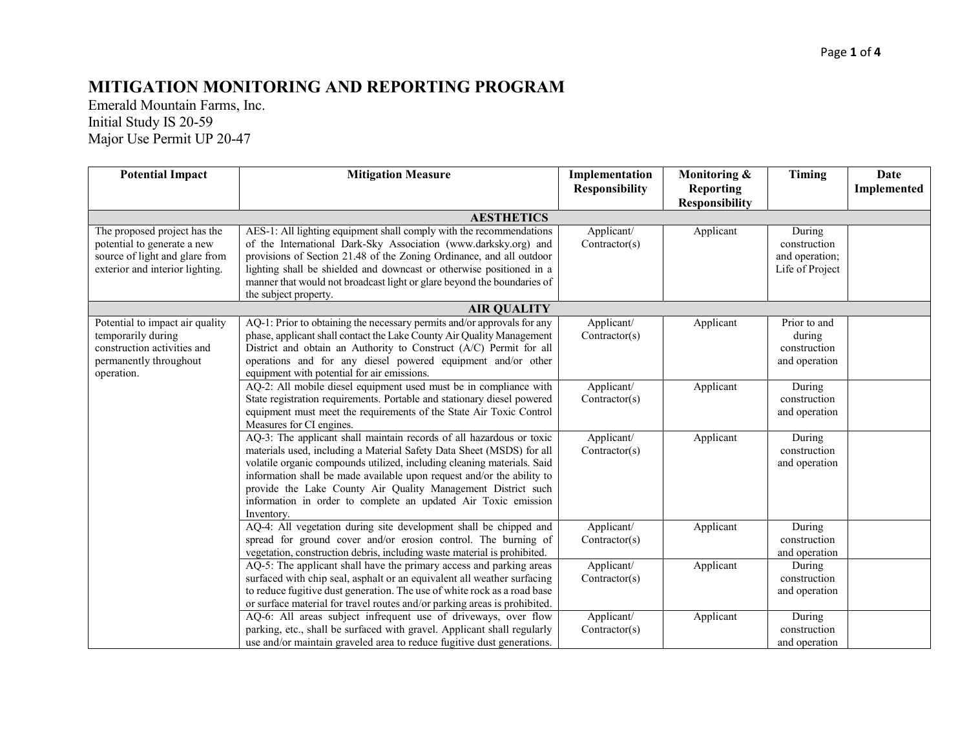## Page **1** of **4**

## **MITIGATION MONITORING AND REPORTING PROGRAM**

Emerald Mountain Farms, Inc. Initial Study IS 20-59 Major Use Permit UP 20-47

| <b>Potential Impact</b>                                                                                                          | <b>Mitigation Measure</b>                                                                                                                                                                                                                                                                                                                                                                                                                          | Implementation<br><b>Responsibility</b> | Monitoring &<br><b>Reporting</b> | Timing                                                      | Date<br>Implemented |
|----------------------------------------------------------------------------------------------------------------------------------|----------------------------------------------------------------------------------------------------------------------------------------------------------------------------------------------------------------------------------------------------------------------------------------------------------------------------------------------------------------------------------------------------------------------------------------------------|-----------------------------------------|----------------------------------|-------------------------------------------------------------|---------------------|
|                                                                                                                                  |                                                                                                                                                                                                                                                                                                                                                                                                                                                    |                                         | <b>Responsibility</b>            |                                                             |                     |
|                                                                                                                                  | <b>AESTHETICS</b>                                                                                                                                                                                                                                                                                                                                                                                                                                  |                                         |                                  |                                                             |                     |
| The proposed project has the<br>potential to generate a new<br>source of light and glare from<br>exterior and interior lighting. | AES-1: All lighting equipment shall comply with the recommendations<br>of the International Dark-Sky Association (www.darksky.org) and<br>provisions of Section 21.48 of the Zoning Ordinance, and all outdoor<br>lighting shall be shielded and downcast or otherwise positioned in a<br>manner that would not broadcast light or glare beyond the boundaries of<br>the subject property.                                                         | Applicant/<br>Contractor(s)             | Applicant                        | During<br>construction<br>and operation;<br>Life of Project |                     |
| <b>AIR QUALITY</b>                                                                                                               |                                                                                                                                                                                                                                                                                                                                                                                                                                                    |                                         |                                  |                                                             |                     |
| Potential to impact air quality<br>temporarily during<br>construction activities and<br>permanently throughout<br>operation.     | AQ-1: Prior to obtaining the necessary permits and/or approvals for any<br>phase, applicant shall contact the Lake County Air Quality Management<br>District and obtain an Authority to Construct (A/C) Permit for all<br>operations and for any diesel powered equipment and/or other<br>equipment with potential for air emissions.                                                                                                              | Applicant/<br>Contractor(s)             | Applicant                        | Prior to and<br>during<br>construction<br>and operation     |                     |
|                                                                                                                                  | AQ-2: All mobile diesel equipment used must be in compliance with<br>State registration requirements. Portable and stationary diesel powered<br>equipment must meet the requirements of the State Air Toxic Control<br>Measures for CI engines.                                                                                                                                                                                                    | Applicant/<br>Contractor(s)             | Applicant                        | During<br>construction<br>and operation                     |                     |
|                                                                                                                                  | AQ-3: The applicant shall maintain records of all hazardous or toxic<br>materials used, including a Material Safety Data Sheet (MSDS) for all<br>volatile organic compounds utilized, including cleaning materials. Said<br>information shall be made available upon request and/or the ability to<br>provide the Lake County Air Quality Management District such<br>information in order to complete an updated Air Toxic emission<br>Inventory. | Applicant/<br>Contractor(s)             | Applicant                        | During<br>construction<br>and operation                     |                     |
|                                                                                                                                  | AQ-4: All vegetation during site development shall be chipped and<br>spread for ground cover and/or erosion control. The burning of<br>vegetation, construction debris, including waste material is prohibited.                                                                                                                                                                                                                                    | Applicant/<br>Contractor(s)             | Applicant                        | During<br>construction<br>and operation                     |                     |
|                                                                                                                                  | AQ-5: The applicant shall have the primary access and parking areas<br>surfaced with chip seal, asphalt or an equivalent all weather surfacing<br>to reduce fugitive dust generation. The use of white rock as a road base<br>or surface material for travel routes and/or parking areas is prohibited.                                                                                                                                            | Applicant/<br>Contractor(s)             | Applicant                        | During<br>construction<br>and operation                     |                     |
|                                                                                                                                  | AQ-6: All areas subject infrequent use of driveways, over flow<br>parking, etc., shall be surfaced with gravel. Applicant shall regularly<br>use and/or maintain graveled area to reduce fugitive dust generations.                                                                                                                                                                                                                                | Applicant/<br>Contractor(s)             | Applicant                        | During<br>construction<br>and operation                     |                     |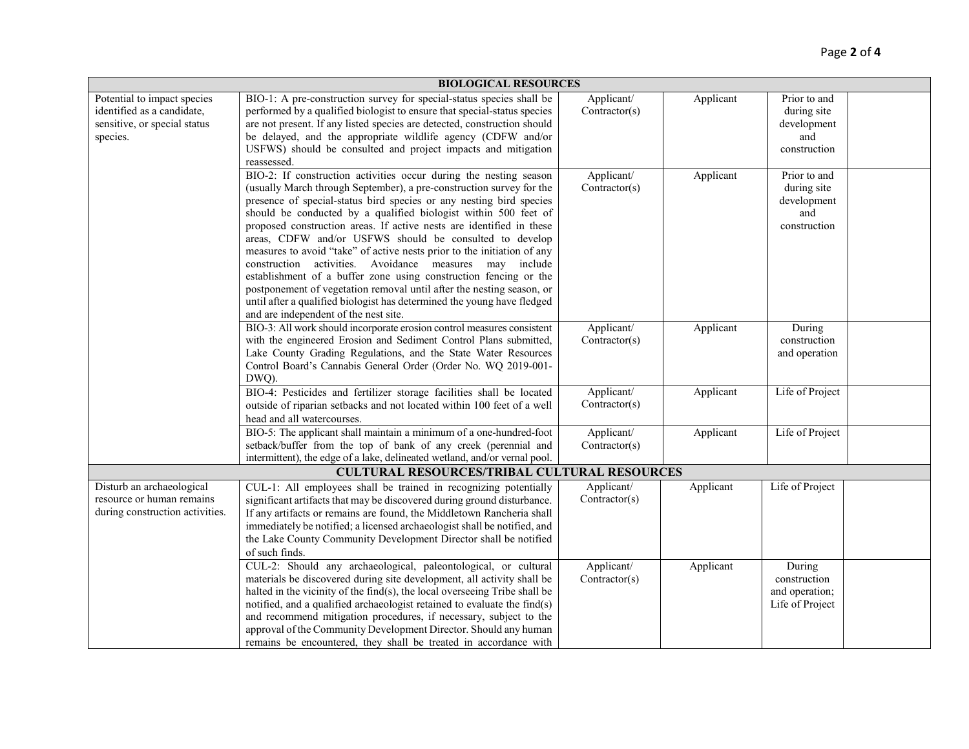## Page **2** of **4**

| <b>BIOLOGICAL RESOURCES</b>                                                                           |                                                                                                                                                                                                                                                                                                                                                                                                                                                                                                                                                                                                                                                                                                                                                                                                                               |                             |           |                                                                   |  |
|-------------------------------------------------------------------------------------------------------|-------------------------------------------------------------------------------------------------------------------------------------------------------------------------------------------------------------------------------------------------------------------------------------------------------------------------------------------------------------------------------------------------------------------------------------------------------------------------------------------------------------------------------------------------------------------------------------------------------------------------------------------------------------------------------------------------------------------------------------------------------------------------------------------------------------------------------|-----------------------------|-----------|-------------------------------------------------------------------|--|
| Potential to impact species<br>identified as a candidate,<br>sensitive, or special status<br>species. | BIO-1: A pre-construction survey for special-status species shall be<br>performed by a qualified biologist to ensure that special-status species<br>are not present. If any listed species are detected, construction should<br>be delayed, and the appropriate wildlife agency (CDFW and/or<br>USFWS) should be consulted and project impacts and mitigation<br>reassessed.                                                                                                                                                                                                                                                                                                                                                                                                                                                  | Applicant/<br>Contractor(s) | Applicant | Prior to and<br>during site<br>development<br>and<br>construction |  |
|                                                                                                       | BIO-2: If construction activities occur during the nesting season<br>(usually March through September), a pre-construction survey for the<br>presence of special-status bird species or any nesting bird species<br>should be conducted by a qualified biologist within 500 feet of<br>proposed construction areas. If active nests are identified in these<br>areas, CDFW and/or USFWS should be consulted to develop<br>measures to avoid "take" of active nests prior to the initiation of any<br>construction activities. Avoidance measures may include<br>establishment of a buffer zone using construction fencing or the<br>postponement of vegetation removal until after the nesting season, or<br>until after a qualified biologist has determined the young have fledged<br>and are independent of the nest site. | Applicant/<br>Contractor(s) | Applicant | Prior to and<br>during site<br>development<br>and<br>construction |  |
|                                                                                                       | BIO-3: All work should incorporate erosion control measures consistent<br>with the engineered Erosion and Sediment Control Plans submitted,<br>Lake County Grading Regulations, and the State Water Resources<br>Control Board's Cannabis General Order (Order No. WQ 2019-001-<br>DWQ).                                                                                                                                                                                                                                                                                                                                                                                                                                                                                                                                      | Applicant/<br>Contractor(s) | Applicant | During<br>construction<br>and operation                           |  |
|                                                                                                       | BIO-4: Pesticides and fertilizer storage facilities shall be located<br>outside of riparian setbacks and not located within 100 feet of a well<br>head and all watercourses.                                                                                                                                                                                                                                                                                                                                                                                                                                                                                                                                                                                                                                                  | Applicant/<br>Contractor(s) | Applicant | Life of Project                                                   |  |
|                                                                                                       | BIO-5: The applicant shall maintain a minimum of a one-hundred-foot<br>setback/buffer from the top of bank of any creek (perennial and<br>intermittent), the edge of a lake, delineated wetland, and/or vernal pool.                                                                                                                                                                                                                                                                                                                                                                                                                                                                                                                                                                                                          | Applicant/<br>Contractor(s) | Applicant | Life of Project                                                   |  |
|                                                                                                       | <b>CULTURAL RESOURCES/TRIBAL CULTURAL RESOURCES</b>                                                                                                                                                                                                                                                                                                                                                                                                                                                                                                                                                                                                                                                                                                                                                                           |                             |           |                                                                   |  |
| Disturb an archaeological<br>resource or human remains<br>during construction activities.             | CUL-1: All employees shall be trained in recognizing potentially<br>significant artifacts that may be discovered during ground disturbance.<br>If any artifacts or remains are found, the Middletown Rancheria shall<br>immediately be notified; a licensed archaeologist shall be notified, and<br>the Lake County Community Development Director shall be notified<br>of such finds.                                                                                                                                                                                                                                                                                                                                                                                                                                        | Applicant/<br>Contractor(s) | Applicant | Life of Project                                                   |  |
|                                                                                                       | CUL-2: Should any archaeological, paleontological, or cultural<br>materials be discovered during site development, all activity shall be<br>halted in the vicinity of the find(s), the local overseeing Tribe shall be<br>notified, and a qualified archaeologist retained to evaluate the find(s)<br>and recommend mitigation procedures, if necessary, subject to the<br>approval of the Community Development Director. Should any human<br>remains be encountered, they shall be treated in accordance with                                                                                                                                                                                                                                                                                                               | Applicant/<br>Contractor(s) | Applicant | During<br>construction<br>and operation;<br>Life of Project       |  |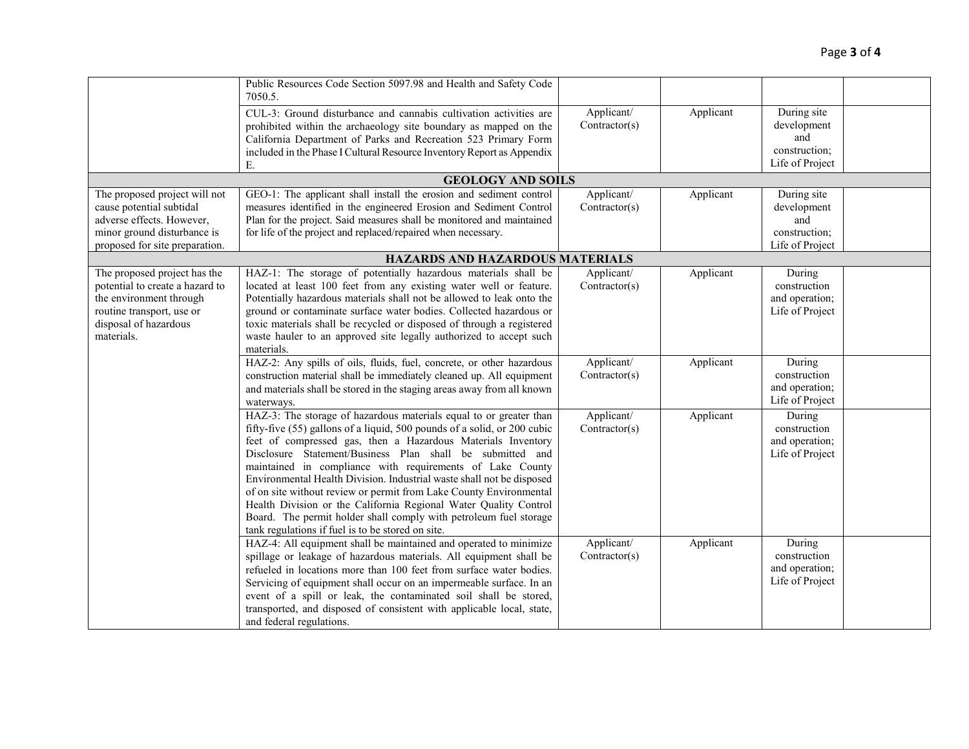|                                 | Public Resources Code Section 5097.98 and Health and Safety Code<br>7050.5.                                                           |                             |           |                                  |  |
|---------------------------------|---------------------------------------------------------------------------------------------------------------------------------------|-----------------------------|-----------|----------------------------------|--|
|                                 | CUL-3: Ground disturbance and cannabis cultivation activities are<br>prohibited within the archaeology site boundary as mapped on the | Applicant/<br>Contractor(s) | Applicant | During site<br>development       |  |
|                                 | California Department of Parks and Recreation 523 Primary Form                                                                        |                             |           | and                              |  |
|                                 | included in the Phase I Cultural Resource Inventory Report as Appendix                                                                |                             |           | construction;<br>Life of Project |  |
|                                 | Е.                                                                                                                                    |                             |           |                                  |  |
| The proposed project will not   | <b>GEOLOGY AND SOILS</b><br>GEO-1: The applicant shall install the erosion and sediment control                                       | Applicant/                  | Applicant | During site                      |  |
| cause potential subtidal        | measures identified in the engineered Erosion and Sediment Control                                                                    | Contractor(s)               |           | development                      |  |
| adverse effects. However,       | Plan for the project. Said measures shall be monitored and maintained                                                                 |                             |           | and                              |  |
| minor ground disturbance is     | for life of the project and replaced/repaired when necessary.                                                                         |                             |           | construction;                    |  |
| proposed for site preparation.  |                                                                                                                                       |                             |           | Life of Project                  |  |
|                                 | HAZARDS AND HAZARDOUS MATERIALS                                                                                                       |                             |           |                                  |  |
| The proposed project has the    | HAZ-1: The storage of potentially hazardous materials shall be                                                                        | Applicant/                  | Applicant | During                           |  |
| potential to create a hazard to | located at least 100 feet from any existing water well or feature.                                                                    | Contractor(s)               |           | construction                     |  |
| the environment through         | Potentially hazardous materials shall not be allowed to leak onto the                                                                 |                             |           | and operation;                   |  |
| routine transport, use or       | ground or contaminate surface water bodies. Collected hazardous or                                                                    |                             |           | Life of Project                  |  |
| disposal of hazardous           | toxic materials shall be recycled or disposed of through a registered                                                                 |                             |           |                                  |  |
| materials.                      | waste hauler to an approved site legally authorized to accept such<br>materials.                                                      |                             |           |                                  |  |
|                                 | HAZ-2: Any spills of oils, fluids, fuel, concrete, or other hazardous                                                                 | Applicant/                  | Applicant | During                           |  |
|                                 | construction material shall be immediately cleaned up. All equipment                                                                  | Contractor(s)               |           | construction                     |  |
|                                 | and materials shall be stored in the staging areas away from all known                                                                |                             |           | and operation;                   |  |
|                                 | waterways.                                                                                                                            |                             |           | Life of Project                  |  |
|                                 | HAZ-3: The storage of hazardous materials equal to or greater than                                                                    | Applicant/                  | Applicant | During                           |  |
|                                 | fifty-five (55) gallons of a liquid, 500 pounds of a solid, or 200 cubic                                                              | Contractor(s)               |           | construction                     |  |
|                                 | feet of compressed gas, then a Hazardous Materials Inventory                                                                          |                             |           | and operation;                   |  |
|                                 | Disclosure Statement/Business Plan shall be submitted and                                                                             |                             |           | Life of Project                  |  |
|                                 | maintained in compliance with requirements of Lake County                                                                             |                             |           |                                  |  |
|                                 | Environmental Health Division. Industrial waste shall not be disposed                                                                 |                             |           |                                  |  |
|                                 | of on site without review or permit from Lake County Environmental                                                                    |                             |           |                                  |  |
|                                 | Health Division or the California Regional Water Quality Control                                                                      |                             |           |                                  |  |
|                                 | Board. The permit holder shall comply with petroleum fuel storage<br>tank regulations if fuel is to be stored on site.                |                             |           |                                  |  |
|                                 | HAZ-4: All equipment shall be maintained and operated to minimize                                                                     | Applicant/                  | Applicant | During                           |  |
|                                 | spillage or leakage of hazardous materials. All equipment shall be                                                                    | Contractor(s)               |           | construction                     |  |
|                                 | refueled in locations more than 100 feet from surface water bodies.                                                                   |                             |           | and operation;                   |  |
|                                 | Servicing of equipment shall occur on an impermeable surface. In an                                                                   |                             |           | Life of Project                  |  |
|                                 | event of a spill or leak, the contaminated soil shall be stored,                                                                      |                             |           |                                  |  |
|                                 | transported, and disposed of consistent with applicable local, state,                                                                 |                             |           |                                  |  |
|                                 | and federal regulations.                                                                                                              |                             |           |                                  |  |
|                                 |                                                                                                                                       |                             |           |                                  |  |